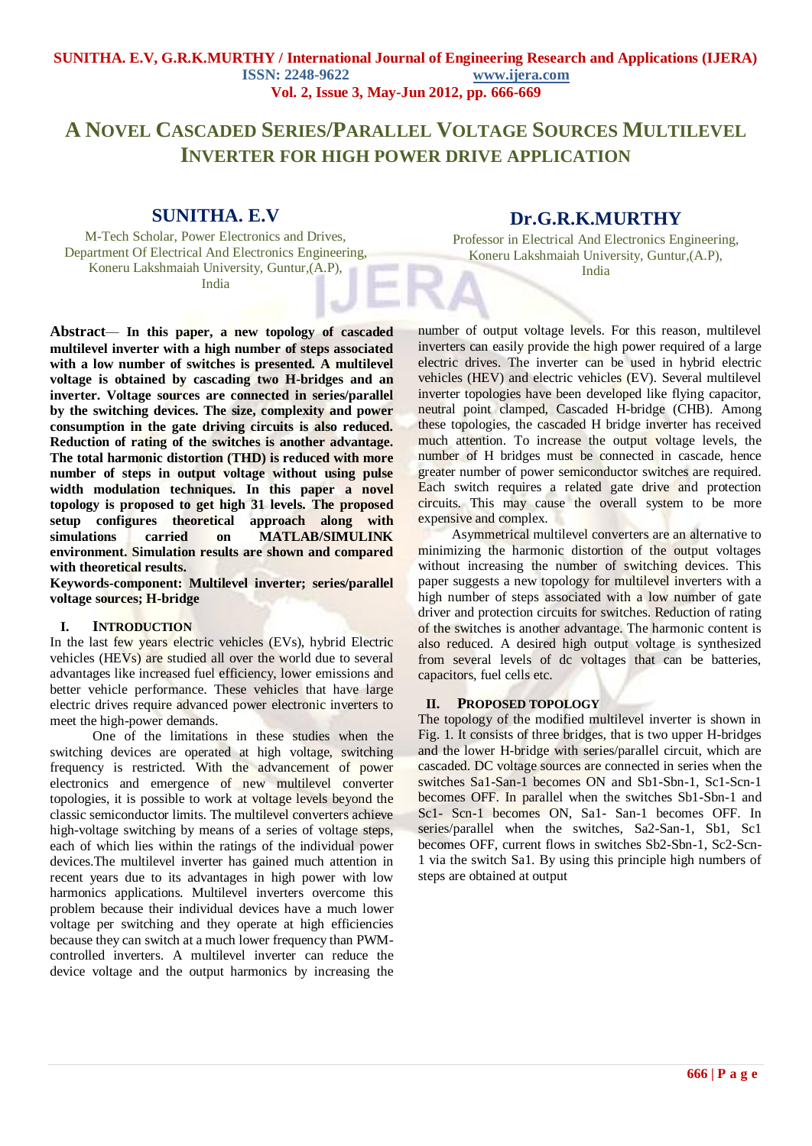#### **SUNITHA. E.V, G.R.K.MURTHY / International Journal of Engineering Research and Applications (IJERA) ISSN: 2248-9622 www.ijera.com Vol. 2, Issue 3, May-Jun 2012, pp. 666-669**

# **A NOVEL CASCADED SERIES/PARALLEL VOLTAGE SOURCES MULTILEVEL INVERTER FOR HIGH POWER DRIVE APPLICATION**

## **SUNITHA. E.V**

M-Tech Scholar, Power Electronics and Drives, Department Of Electrical And Electronics Engineering, Koneru Lakshmaiah University, Guntur,(A.P), India

## **Dr.G.R.K.MURTHY**

Professor in Electrical And Electronics Engineering, Koneru Lakshmaiah University, Guntur,(A.P), India

**Abstract***—* **In this paper, a new topology of cascaded multilevel inverter with a high number of steps associated**  with a low number of switches is presented. A multilevel **voltage is obtained by cascading two H-bridges and an inverter. Voltage sources are connected in series/parallel by the switching devices. The size, complexity and power consumption in the gate driving circuits is also reduced. Reduction of rating of the switches is another advantage. The total harmonic distortion (THD) is reduced with more number of steps in output voltage without using pulse width modulation techniques. In this paper a novel topology is proposed to get high 31 levels. The proposed setup configures theoretical approach along with simulations carried on MATLAB/SIMULINK environment. Simulation results are shown and compared with theoretical results.** 

**Keywords-component: Multilevel inverter; series/parallel voltage sources; H-bridge**

#### **I. INTRODUCTION**

In the last few years electric vehicles (EVs), hybrid Electric vehicles (HEVs) are studied all over the world due to several advantages like increased fuel efficiency, lower emissions and better vehicle performance. These vehicles that have large electric drives require advanced power electronic inverters to meet the high-power demands.

 One of the limitations in these studies when the switching devices are operated at high voltage, switching frequency is restricted. With the advancement of power electronics and emergence of new multilevel converter topologies, it is possible to work at voltage levels beyond the classic semiconductor limits. The multilevel converters achieve high-voltage switching by means of a series of voltage steps, each of which lies within the ratings of the individual power devices.The multilevel inverter has gained much attention in recent years due to its advantages in high power with low harmonics applications. Multilevel inverters overcome this problem because their individual devices have a much lower voltage per switching and they operate at high efficiencies because they can switch at a much lower frequency than PWMcontrolled inverters. A multilevel inverter can reduce the device voltage and the output harmonics by increasing the number of output voltage levels. For this reason, multilevel inverters can easily provide the high power required of a large electric drives. The inverter can be used in hybrid electric vehicles (HEV) and electric vehicles (EV). Several multilevel inverter topologies have been developed like flying capacitor, neutral point clamped, Cascaded H-bridge (CHB). Among these topologies, the cascaded H bridge inverter has received much attention. To increase the output voltage levels, the number of H bridges must be connected in cascade, hence greater number of power semiconductor switches are required. Each switch requires a related gate drive and protection circuits. This may cause the overall system to be more expensive and complex.

 Asymmetrical multilevel converters are an alternative to minimizing the harmonic distortion of the output voltages without increasing the number of switching devices. This paper suggests a new topology for multilevel inverters with a high number of steps associated with a low number of gate driver and protection circuits for switches. Reduction of rating of the switches is another advantage. The harmonic content is also reduced. A desired high output voltage is synthesized from several levels of dc voltages that can be batteries, capacitors, fuel cells etc.

#### **II. PROPOSED TOPOLOGY**

The topology of the modified multilevel inverter is shown in Fig. 1. It consists of three bridges, that is two upper H-bridges and the lower H-bridge with series/parallel circuit, which are cascaded. DC voltage sources are connected in series when the switches Sa1-San-1 becomes ON and Sb1-Sbn-1, Sc1-Scn-1 becomes OFF. In parallel when the switches Sb1-Sbn-1 and Sc1- Scn-1 becomes ON, Sa1- San-1 becomes OFF. In series/parallel when the switches, Sa2-San-1, Sb1, Sc1 becomes OFF, current flows in switches Sb2-Sbn-1, Sc2-Scn-1 via the switch Sa1. By using this principle high numbers of steps are obtained at output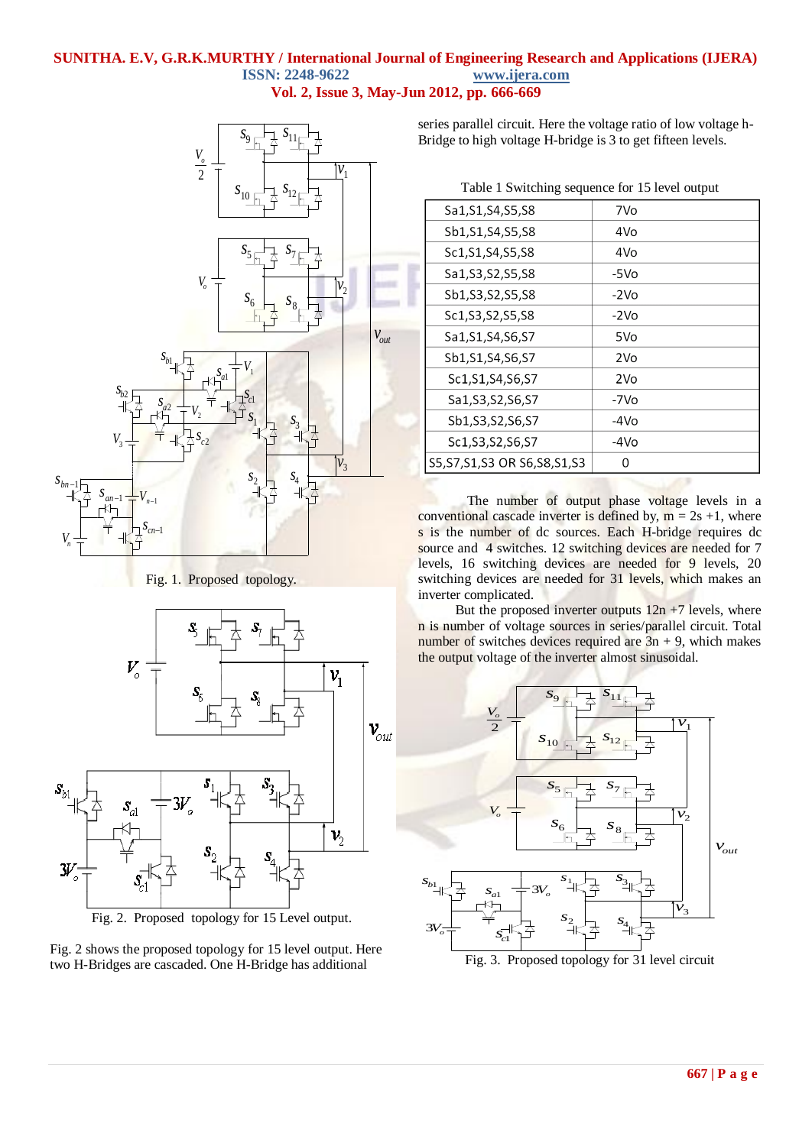#### **SUNITHA. E.V, G.R.K.MURTHY / International Journal of Engineering Research and Applications (IJERA) ISSN: 2248-9622 www.ijera.com Vol. 2, Issue 3, May-Jun 2012, pp. 666-669**



Fig. 1. Proposed topology.



Fig. 2. Proposed topology for 15 Level output.

Fig. 2 shows the proposed topology for 15 level output. Here two H-Bridges are cascaded. One H-Bridge has additional

 $S_{11}$   $\overrightarrow{S}_{11}$   $\overrightarrow{S}_{11}$   $\overrightarrow{S}_{11}$   $\overrightarrow{S}_{11}$   $\overrightarrow{S}_{11}$   $\overrightarrow{S}_{11}$   $\overrightarrow{S}_{11}$   $\overrightarrow{S}_{11}$   $\overrightarrow{S}_{11}$   $\overrightarrow{S}_{11}$   $\overrightarrow{S}_{11}$   $\overrightarrow{S}_{11}$   $\overrightarrow{S}_{11}$   $\overrightarrow{S}_{11}$   $\overrightarrow{S}_{11}$   $\overrightarrow{S}_{11}$   $\overrightarrow{S}_{11}$   $\overrightarrow{S}_{11$ series parallel circuit. Here the voltage ratio of low voltage h-

Table 1 Switching sequence for 15 level output

|                |           | Sa1, S1, S4, S5, S8              | 7Vo             |
|----------------|-----------|----------------------------------|-----------------|
|                |           | Sb1, S1, S4, S5, S8              | 4Vo             |
|                |           | Sc1, S1, S4, S5, S8              | 4Vo             |
|                |           | Sa1, S3, S2, S5, S8              | -5Vo            |
| $v_{2}$        |           | Sb1, S3, S2, S5, S8              | $-2VO$          |
|                |           | Sc1, S3, S2, S5, S8              | $-2VO$          |
|                | $V_{out}$ | Sa1, S1, S4, S6, S7              | 5Vo             |
|                |           | Sb1, S1, S4, S6, S7              | 2V <sub>o</sub> |
|                |           | Sc1, S1, S4, S6, S7              | 2Vo             |
|                |           | Sa1, S3, S2, S6, S7              | -7Vo            |
|                |           | Sb1, S3, S2, S6, S7              | -4Vo            |
|                |           | Sc1, S3, S2, S6, S7              | $-4VO$          |
| v <sub>3</sub> |           | S5, S7, S1, S3 OR S6, S8, S1, S3 | 0               |
|                |           |                                  |                 |

The number of output phase voltage levels in a conventional cascade inverter is defined by,  $m = 2s + 1$ , where s is the number of dc sources. Each H-bridge requires dc source and 4 switches. 12 switching devices are needed for 7 levels, 16 switching devices are needed for 9 levels, 20 switching devices are needed for 31 levels, which makes an

inverter complicated. But the proposed inverter outputs  $12n + 7$  levels, where n is number of voltage sources in series/parallel circuit. Total number of switches devices required are  $3n + 9$ , which makes the output voltage of the inverter almost sinusoidal.

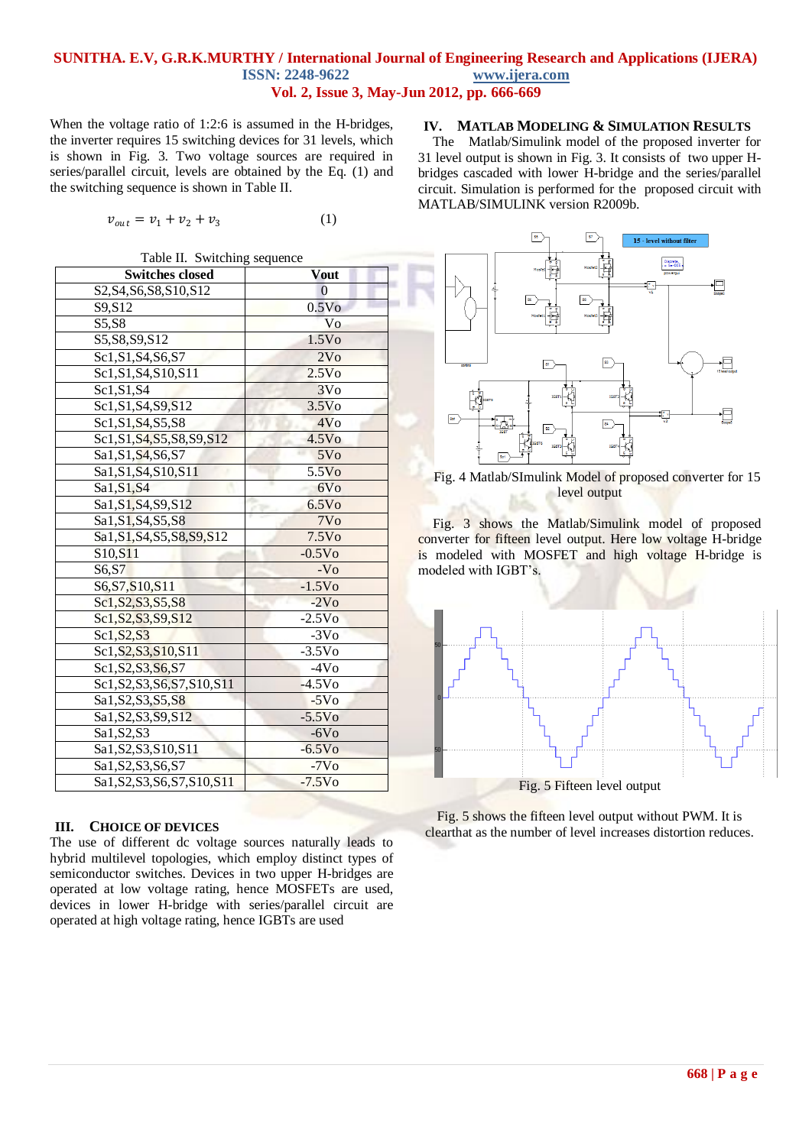#### **SUNITHA. E.V, G.R.K.MURTHY / International Journal of Engineering Research and Applications (IJERA) ISSN: 2248-9622 www.ijera.com Vol. 2, Issue 3, May-Jun 2012, pp. 666-669**

When the voltage ratio of 1:2:6 is assumed in the H-bridges, the inverter requires 15 switching devices for 31 levels, which is shown in Fig. 3. Two voltage sources are required in series/parallel circuit, levels are obtained by the Eq. (1) and the switching sequence is shown in Table II.

$$
v_{out} = v_1 + v_2 + v_3 \tag{1}
$$

Table II. Switching sequence

| <b>Switches closed</b>           | <b>Vout</b>       |
|----------------------------------|-------------------|
| S2, S4, S6, S8, S10, S12         | $\Omega$          |
| S9,S12                           | 0.5V <sub>0</sub> |
| S5, S8                           | Vo                |
| S5, S8, S9, S12                  | 1.5V <sub>o</sub> |
| Sc1, S1, S4, S6, S7              | 2V <sub>o</sub>   |
| Sc1, S1, S4, S10, S11            | 2.5V <sub>o</sub> |
| Sc1, S1, S4                      | 3V <sub>0</sub>   |
| Sc1, S1, S4, S9, S12             | 3.5V <sub>o</sub> |
| Sc1, S1, S4, S5, S8              | 4V <sub>O</sub>   |
| Sc1, S1, S4, S5, S8, S9, S12     | 4.5V <sub>o</sub> |
| Sa1, S1, S4, S6, S7              | 5V <sub>O</sub>   |
| Sa1, S1, S4, S10, S11            | 5.5V <sub>0</sub> |
| Sa1, S1, S4                      | 6V <sub>o</sub>   |
| Sa1, S1, S4, S9, S12             | 6.5V <sub>0</sub> |
| Sa1, S1, S4, S5, S8              | 7V <sub>o</sub>   |
| Sa1, S1, S4, S5, S8, S9, S12     | 7.5V <sub>0</sub> |
| $S10, \overline{S11}$            | $-0.5VO$          |
| S6, S7                           | $-VO$             |
| S6, S7, S10, S11                 | $-1.5Vo$          |
| Sc1, S2, S3, S5, S8              | $-2VO$            |
| Sc1, S2, S3, S9, S12             | $-2.5VO$          |
| Sc1, S2, S3                      | $-3Vo$            |
| Sc1, S2, S3, S10, S11            | $-3.5V0$          |
| Sc1, S2, S3, S6, S7              | $-4V0$            |
| Sc1, S2, S3, S6, S7, S10, S11    | $-4.5V0$          |
| Sa1, S2, S3, S5, S8              | $-5VO$            |
| Sa1, S2, S3, S9, S12             | $-5.5Vo$          |
| Sa1, S2, S3                      | $-6VO$            |
| Sa1, S2, S3, S10, S11            | $-6.5VO$          |
| $\overline{Sa1, S2, S3, S6, S7}$ | $-7VO$            |
| Sa1, S2, S3, S6, S7, S10, S11    | $-7.5Vo$          |

#### **III. CHOICE OF DEVICES**

The use of different dc voltage sources naturally leads to hybrid multilevel topologies, which employ distinct types of semiconductor switches. Devices in two upper H-bridges are operated at low voltage rating, hence MOSFETs are used, devices in lower H-bridge with series/parallel circuit are operated at high voltage rating, hence IGBTs are used

#### **IV. MATLAB MODELING & SIMULATION RESULTS**

The Matlab/Simulink model of the proposed inverter for 31 level output is shown in Fig. 3. It consists of two upper Hbridges cascaded with lower H-bridge and the series/parallel circuit. Simulation is performed for the proposed circuit with MATLAB/SIMULINK version R2009b.



Fig. 4 Matlab/SImulink Model of proposed converter for 15 level output

Fig. 3 shows the Matlab/Simulink model of proposed converter for fifteen level output. Here low voltage H-bridge is modeled with MOSFET and high voltage H-bridge is modeled with IGBT's.



Fig. 5 shows the fifteen level output without PWM. It is clearthat as the number of level increases distortion reduces.